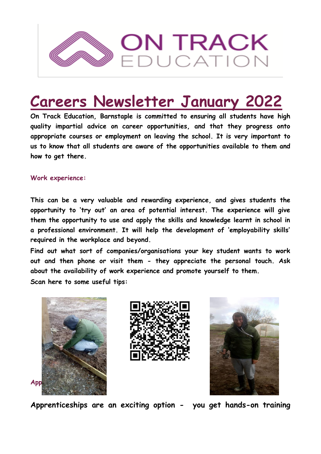

# **Careers Newsletter January 2022**

**On Track Education, Barnstaple is committed to ensuring all students have high quality impartial advice on career opportunities, and that they progress onto appropriate courses or employment on leaving the school. It is very important to us to know that all students are aware of the opportunities available to them and how to get there.** 

#### **Work experience:**

**This can be a very valuable and rewarding experience, and gives students the opportunity to 'try out' an area of potential interest. The experience will give them the opportunity to use and apply the skills and knowledge learnt in school in a professional environment. It will help the development of 'employability skills' required in the workplace and beyond.** 

**Find out what sort of companies/organisations your key student wants to work out and then phone or visit them - they appreciate the personal touch. Ask about the availability of work experience and promote yourself to them. Scan here to some useful tips:**







**Apprenticeships are an exciting option - you get hands-on training**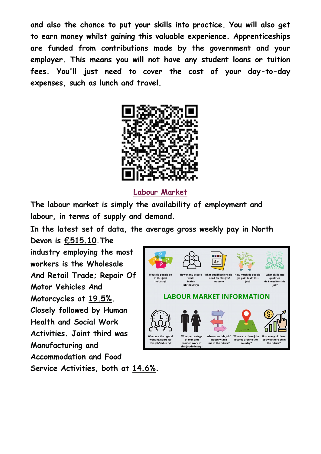**and also the chance to put your skills into practice. You will also get to earn money whilst gaining this valuable experience. Apprenticeships are funded from contributions made by the government and your employer. This means you will not have any student loans or tuition fees. You'll just need to cover the cost of your day-to-day expenses, such as lunch and travel.**



**Labour Market**

**The labour market is simply the availability of employment and labour, in terms of supply and demand.** 

**In the latest set of data, the average gross weekly pay in North**

**Devon is £515.10.The industry employing the most workers is the Wholesale And Retail Trade; Repair Of Motor Vehicles And Motorcycles at 19.5%. Closely followed by Human Health and Social Work Activities. Joint third was Manufacturing and Accommodation and Food Service Activities, both at 14.6%.**

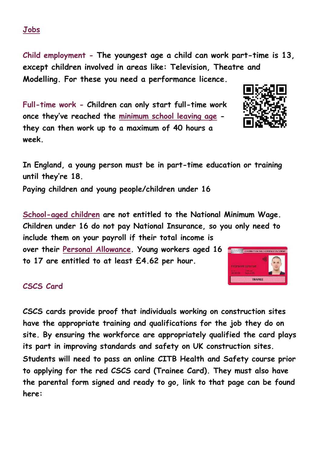**Child employment - The youngest age a child can work part-time is 13, except children involved in areas like: Television, Theatre and Modelling. For these you need a performance licence.** 

**Full-time work - Children can only start full-time work once they've reached the [minimum school leaving age](https://www.gov.uk/know-when-you-can-leave-school) they can then work up to a maximum of 40 hours a week.** 

**In England, a young person must be in part-time education or training until they're 18.** 

**Paying children and young people/children under 16** 

**[School-aged children](https://www.gov.uk/know-when-you-can-leave-school) are not entitled to the National Minimum Wage. Children under 16 do not pay National Insurance, so you only need to include them on your payroll if their total income is** 

**over their [Personal Allowance.](https://www.gov.uk/income-tax-rates/personal-allowances) Young workers aged 16 to 17 are entitled to at least £4.62 per hour.**

### **CSCS Card**

**CSCS cards provide proof that individuals working on construction sites have the appropriate training and qualifications for the job they do on site. By ensuring the workforce are appropriately qualified the card plays its part in improving standards and safety on UK construction sites. Students will need to pass an online CITB Health and Safety course prior to applying for the red CSCS card (Trainee Card). They must also have the parental form signed and ready to go, link to that page can be found here:**

## **Jobs**



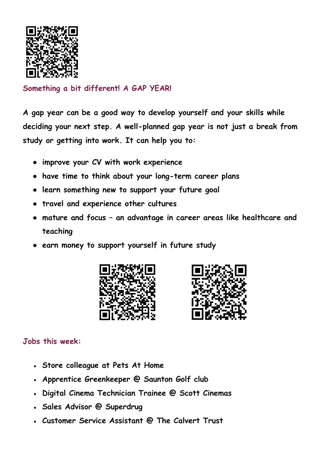

**Something a bit different! A GAP YEAR!**

**A gap year can be a good way to develop yourself and your skills while deciding your next step. A well-planned gap year is not just a break from study or getting into work. It can help you to:**

- **improve your CV with work experience**
- **have time to think about your long-term career plans**
- **learn something new to support your future goal**
- **travel and experience other cultures**
- **mature and focus – an advantage in career areas like healthcare and teaching**
- **earn money to support yourself in future study**





### **Jobs this week:**

- **Store colleague at Pets At Home**
- Apprentice Greenkeeper @ Saunton Golf club
- **Digital Cinema Technician Trainee @ Scott Cinemas**
- **Sales Advisor @ Superdrug**
- **Customer Service Assistant @ The Calvert Trust**